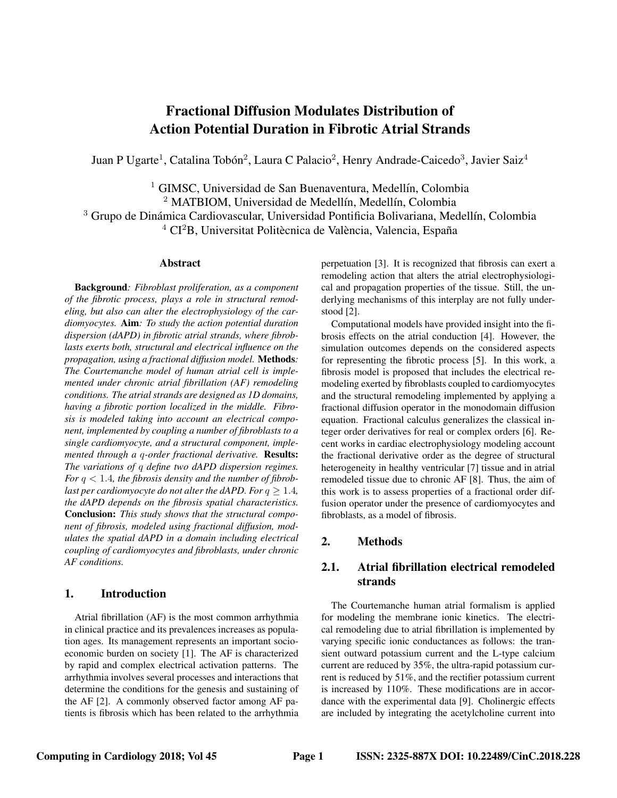# Fractional Diffusion Modulates Distribution of Action Potential Duration in Fibrotic Atrial Strands

Juan P Ugarte<sup>1</sup>, Catalina Tobón<sup>2</sup>, Laura C Palacio<sup>2</sup>, Henry Andrade-Caicedo<sup>3</sup>, Javier Saiz<sup>4</sup>

 $1$  GIMSC, Universidad de San Buenaventura, Medellín, Colombia <sup>2</sup> MATBIOM, Universidad de Medellín, Medellín, Colombia <sup>3</sup> Grupo de Dinámica Cardiovascular, Universidad Pontificia Bolivariana, Medellín, Colombia  $4 \text{ CI}^2$ B, Universitat Politècnica de València, Valencia, España

#### Abstract

Background*: Fibroblast proliferation, as a component of the fibrotic process, plays a role in structural remodeling, but also can alter the electrophysiology of the cardiomyocytes.* Aim*: To study the action potential duration dispersion (dAPD) in fibrotic atrial strands, where fibroblasts exerts both, structural and electrical influence on the propagation, using a fractional diffusion model.* Methods*: The Courtemanche model of human atrial cell is implemented under chronic atrial fibrillation (AF) remodeling conditions. The atrial strands are designed as 1D domains, having a fibrotic portion localized in the middle. Fibrosis is modeled taking into account an electrical component, implemented by coupling a number of fibroblasts to a single cardiomyocyte, and a structural component, implemented through a* q*-order fractional derivative.* Results: *The variations of* q *define two dAPD dispersion regimes. For* q < 1.4*, the fibrosis density and the number of fibroblast per cardiomyocyte do not alter the dAPD. For*  $q \geq 1.4$ *, the dAPD depends on the fibrosis spatial characteristics.* Conclusion: *This study shows that the structural component of fibrosis, modeled using fractional diffusion, modulates the spatial dAPD in a domain including electrical coupling of cardiomyocytes and fibroblasts, under chronic AF conditions.*

#### 1. Introduction

Atrial fibrillation (AF) is the most common arrhythmia in clinical practice and its prevalences increases as population ages. Its management represents an important socioeconomic burden on society [1]. The AF is characterized by rapid and complex electrical activation patterns. The arrhythmia involves several processes and interactions that determine the conditions for the genesis and sustaining of the AF [2]. A commonly observed factor among AF patients is fibrosis which has been related to the arrhythmia perpetuation [3]. It is recognized that fibrosis can exert a remodeling action that alters the atrial electrophysiological and propagation properties of the tissue. Still, the underlying mechanisms of this interplay are not fully understood [2].

Computational models have provided insight into the fibrosis effects on the atrial conduction [4]. However, the simulation outcomes depends on the considered aspects for representing the fibrotic process [5]. In this work, a fibrosis model is proposed that includes the electrical remodeling exerted by fibroblasts coupled to cardiomyocytes and the structural remodeling implemented by applying a fractional diffusion operator in the monodomain diffusion equation. Fractional calculus generalizes the classical integer order derivatives for real or complex orders [6]. Recent works in cardiac electrophysiology modeling account the fractional derivative order as the degree of structural heterogeneity in healthy ventricular [7] tissue and in atrial remodeled tissue due to chronic AF [8]. Thus, the aim of this work is to assess properties of a fractional order diffusion operator under the presence of cardiomyocytes and fibroblasts, as a model of fibrosis.

# 2. Methods

## 2.1. Atrial fibrillation electrical remodeled strands

The Courtemanche human atrial formalism is applied for modeling the membrane ionic kinetics. The electrical remodeling due to atrial fibrillation is implemented by varying specific ionic conductances as follows: the transient outward potassium current and the L-type calcium current are reduced by 35%, the ultra-rapid potassium current is reduced by 51%, and the rectifier potassium current is increased by 110%. These modifications are in accordance with the experimental data [9]. Cholinergic effects are included by integrating the acetylcholine current into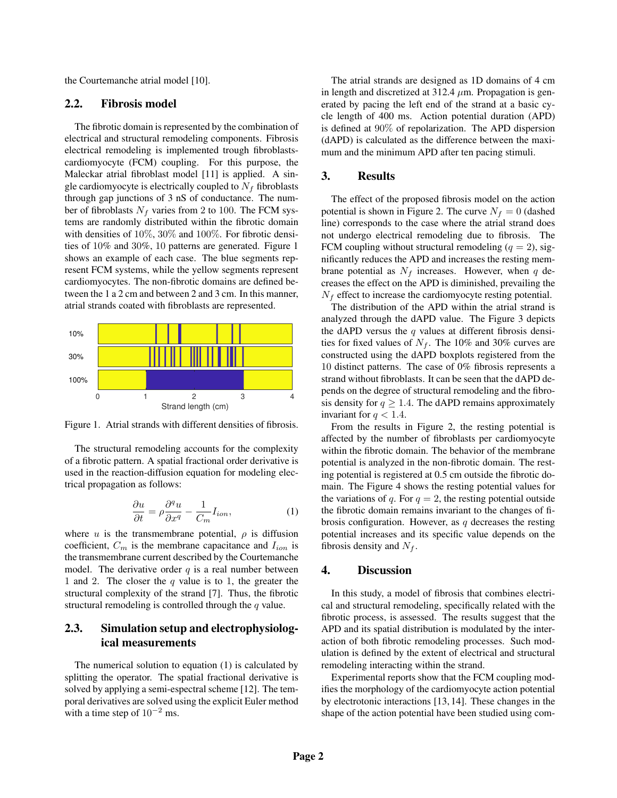the Courtemanche atrial model [10].

#### 2.2. Fibrosis model

The fibrotic domain is represented by the combination of electrical and structural remodeling components. Fibrosis electrical remodeling is implemented trough fibroblastscardiomyocyte (FCM) coupling. For this purpose, the Maleckar atrial fibroblast model [11] is applied. A single cardiomyocyte is electrically coupled to  $N_f$  fibroblasts through gap junctions of 3 nS of conductance. The number of fibroblasts  $N_f$  varies from 2 to 100. The FCM systems are randomly distributed within the fibrotic domain with densities of 10%, 30% and 100%. For fibrotic densities of 10% and 30%, 10 patterns are generated. Figure 1 shows an example of each case. The blue segments represent FCM systems, while the yellow segments represent cardiomyocytes. The non-fibrotic domains are defined between the 1 a 2 cm and between 2 and 3 cm. In this manner, atrial strands coated with fibroblasts are represented.



Figure 1. Atrial strands with different densities of fibrosis.

The structural remodeling accounts for the complexity of a fibrotic pattern. A spatial fractional order derivative is used in the reaction-diffusion equation for modeling electrical propagation as follows:

$$
\frac{\partial u}{\partial t} = \rho \frac{\partial^q u}{\partial x^q} - \frac{1}{C_m} I_{ion},
$$
\n(1)

where u is the transmembrane potential,  $\rho$  is diffusion coefficient,  $C_m$  is the membrane capacitance and  $I_{ion}$  is the transmembrane current described by the Courtemanche model. The derivative order  $q$  is a real number between 1 and 2. The closer the  $q$  value is to 1, the greater the structural complexity of the strand [7]. Thus, the fibrotic structural remodeling is controlled through the  $q$  value.

## 2.3. Simulation setup and electrophysiological measurements

The numerical solution to equation (1) is calculated by splitting the operator. The spatial fractional derivative is solved by applying a semi-espectral scheme [12]. The temporal derivatives are solved using the explicit Euler method with a time step of  $10^{-2}$  ms.

The atrial strands are designed as 1D domains of 4 cm in length and discretized at 312.4  $\mu$ m. Propagation is generated by pacing the left end of the strand at a basic cycle length of 400 ms. Action potential duration (APD) is defined at 90% of repolarization. The APD dispersion (dAPD) is calculated as the difference between the maximum and the minimum APD after ten pacing stimuli.

#### 3. Results

The effect of the proposed fibrosis model on the action potential is shown in Figure 2. The curve  $N_f = 0$  (dashed line) corresponds to the case where the atrial strand does not undergo electrical remodeling due to fibrosis. The FCM coupling without structural remodeling  $(q = 2)$ , significantly reduces the APD and increases the resting membrane potential as  $N_f$  increases. However, when q decreases the effect on the APD is diminished, prevailing the  $N_f$  effect to increase the cardiomyocyte resting potential.

The distribution of the APD within the atrial strand is analyzed through the dAPD value. The Figure 3 depicts the dAPD versus the  $q$  values at different fibrosis densities for fixed values of  $N_f$ . The 10% and 30% curves are constructed using the dAPD boxplots registered from the 10 distinct patterns. The case of 0% fibrosis represents a strand without fibroblasts. It can be seen that the dAPD depends on the degree of structural remodeling and the fibrosis density for  $q \ge 1.4$ . The dAPD remains approximately invariant for  $q < 1.4$ .

From the results in Figure 2, the resting potential is affected by the number of fibroblasts per cardiomyocyte within the fibrotic domain. The behavior of the membrane potential is analyzed in the non-fibrotic domain. The resting potential is registered at 0.5 cm outside the fibrotic domain. The Figure 4 shows the resting potential values for the variations of q. For  $q = 2$ , the resting potential outside the fibrotic domain remains invariant to the changes of fibrosis configuration. However, as  $q$  decreases the resting potential increases and its specific value depends on the fibrosis density and  $N_f$ .

### 4. Discussion

In this study, a model of fibrosis that combines electrical and structural remodeling, specifically related with the fibrotic process, is assessed. The results suggest that the APD and its spatial distribution is modulated by the interaction of both fibrotic remodeling processes. Such modulation is defined by the extent of electrical and structural remodeling interacting within the strand.

Experimental reports show that the FCM coupling modifies the morphology of the cardiomyocyte action potential by electrotonic interactions [13, 14]. These changes in the shape of the action potential have been studied using com-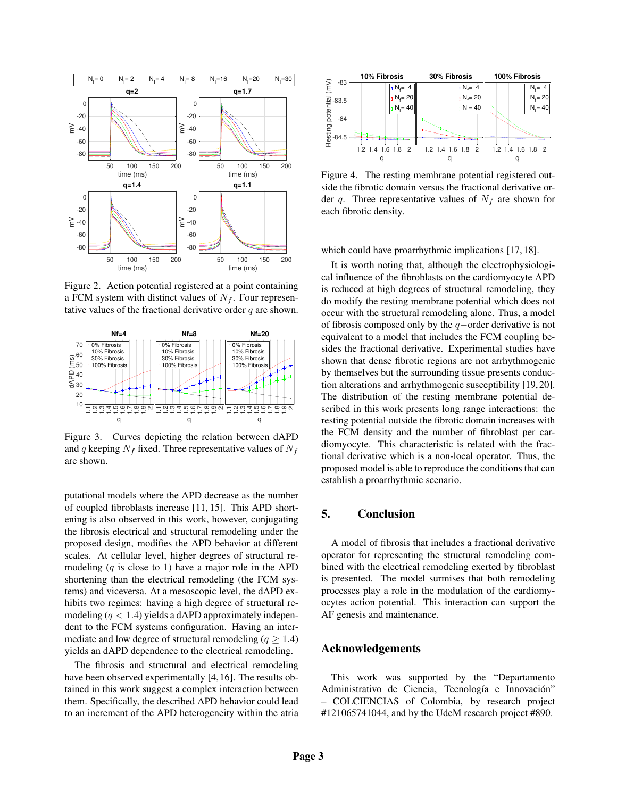

Figure 2. Action potential registered at a point containing a FCM system with distinct values of  $N_f$ . Four representative values of the fractional derivative order  $q$  are shown.



Figure 3. Curves depicting the relation between dAPD and q keeping  $N_f$  fixed. Three representative values of  $N_f$ are shown.

putational models where the APD decrease as the number of coupled fibroblasts increase [11, 15]. This APD shortening is also observed in this work, however, conjugating the fibrosis electrical and structural remodeling under the proposed design, modifies the APD behavior at different scales. At cellular level, higher degrees of structural remodeling  $(q$  is close to 1) have a major role in the APD shortening than the electrical remodeling (the FCM systems) and viceversa. At a mesoscopic level, the dAPD exhibits two regimes: having a high degree of structural remodeling  $(q < 1.4)$  yields a dAPD approximately independent to the FCM systems configuration. Having an intermediate and low degree of structural remodeling ( $q \ge 1.4$ ) yields an dAPD dependence to the electrical remodeling. to an increment in the APD decrease of the method of the APD decrease (11.15). This APD short and the fluctuational models where  $\alpha$ . The rest operator of the APD decrease (11.15). This APD short and the atribute prope

The fibrosis and structural and electrical remodeling have been observed experimentally [4, 16]. The results obtained in this work suggest a complex interaction between them. Specifically, the described APD behavior could lead



Figure 4. The resting membrane potential registered outside the fibrotic domain versus the fractional derivative order q. Three representative values of  $N_f$  are shown for each fibrotic density.

which could have proarrhythmic implications [17, 18].

It is worth noting that, although the electrophysiological influence of the fibroblasts on the cardiomyocyte APD is reduced at high degrees of structural remodeling, they do modify the resting membrane potential which does not occur with the structural remodeling alone. Thus, a model of fibrosis composed only by the q−order derivative is not equivalent to a model that includes the FCM coupling besides the fractional derivative. Experimental studies have shown that dense fibrotic regions are not arrhythmogenic by themselves but the surrounding tissue presents conduction alterations and arrhythmogenic susceptibility [19, 20]. The distribution of the resting membrane potential described in this work presents long range interactions: the resting potential outside the fibrotic domain increases with the FCM density and the number of fibroblast per cardiomyocyte. This characteristic is related with the fractional derivative which is a non-local operator. Thus, the proposed model is able to reproduce the conditions that can establish a proarrhythmic scenario.

## 5. Conclusion

A model of fibrosis that includes a fractional derivative operator for representing the structural remodeling combined with the electrical remodeling exerted by fibroblast is presented. The model surmises that both remodeling processes play a role in the modulation of the cardiomyocytes action potential. This interaction can support the AF genesis and maintenance.

#### Acknowledgements

This work was supported by the "Departamento Administrativo de Ciencia, Tecnología e Innovación" – COLCIENCIAS of Colombia, by research project #121065741044, and by the UdeM research project #890.